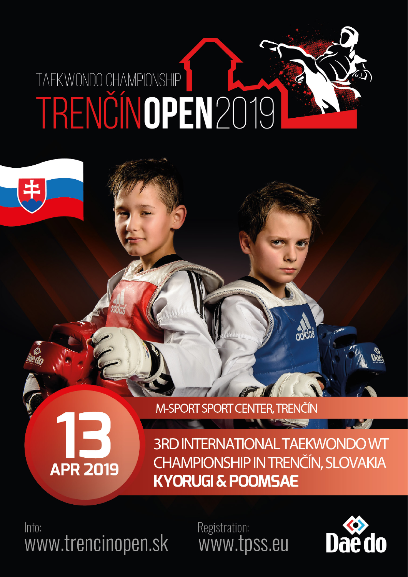### TAEKWONDO CHAMPIONSHIP TRENČÍNOPEN2019

# **APR 2019**

**M-SPORT SPORT CENTER, TRENČÍN** 

**3RD INTERNATIONAL TAEKWONDO WT CHAMPIONSHIP IN TRENČÍN, SLOVAKIA KYORUGI & POOMSAE** 

 $Inf0:$ www.trencinopen.sk Registration: www.tpss.eu